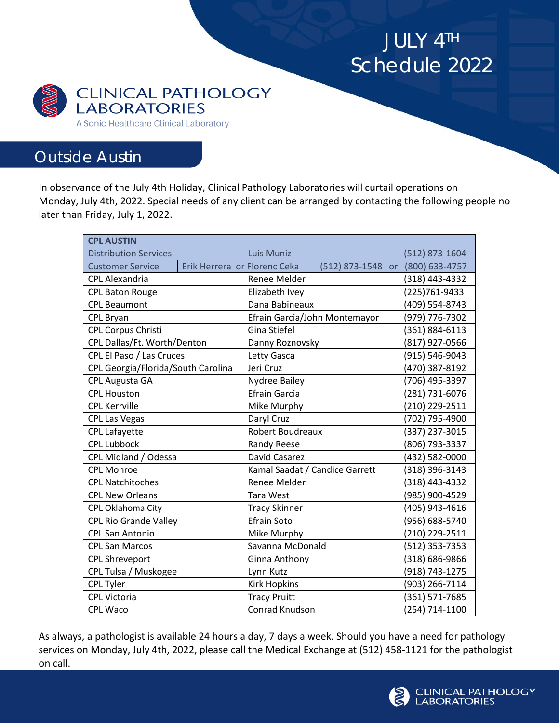JULY 4TH Schedule 2022



## Outside Austin

In observance of the July 4th Holiday, Clinical Pathology Laboratories will curtail operations on Monday, July 4th, 2022. Special needs of any client can be arranged by contacting the following people no later than Friday, July 1, 2022.

| <b>CPL AUSTIN</b>                  |                              |                                |                             |                |
|------------------------------------|------------------------------|--------------------------------|-----------------------------|----------------|
| <b>Distribution Services</b>       |                              | Luis Muniz                     |                             | (512) 873-1604 |
| <b>Customer Service</b>            | Erik Herrera or Florenc Ceka |                                | (512) 873-1548<br><b>or</b> | (800) 633-4757 |
| <b>CPL Alexandria</b>              |                              | Renee Melder                   |                             | (318) 443-4332 |
| <b>CPL Baton Rouge</b>             |                              | Elizabeth Ivey                 |                             | (225)761-9433  |
| <b>CPL Beaumont</b>                |                              | Dana Babineaux                 |                             | (409) 554-8743 |
| <b>CPL Bryan</b>                   |                              | Efrain Garcia/John Montemayor  |                             | (979) 776-7302 |
| CPL Corpus Christi                 |                              | Gina Stiefel                   |                             | (361) 884-6113 |
| CPL Dallas/Ft. Worth/Denton        |                              | Danny Roznovsky                |                             | (817) 927-0566 |
| CPL El Paso / Las Cruces           |                              | Letty Gasca                    |                             | (915) 546-9043 |
| CPL Georgia/Florida/South Carolina |                              | Jeri Cruz                      |                             | (470) 387-8192 |
| CPL Augusta GA                     |                              | <b>Nydree Bailey</b>           |                             | (706) 495-3397 |
| <b>CPL Houston</b>                 |                              | <b>Efrain Garcia</b>           |                             | (281) 731-6076 |
| <b>CPL Kerrville</b>               |                              | Mike Murphy                    |                             | (210) 229-2511 |
| <b>CPL Las Vegas</b>               |                              | Daryl Cruz                     |                             | (702) 795-4900 |
| <b>CPL Lafayette</b>               |                              | Robert Boudreaux               |                             | (337) 237-3015 |
| <b>CPL Lubbock</b>                 |                              | <b>Randy Reese</b>             |                             | (806) 793-3337 |
| CPL Midland / Odessa               |                              | David Casarez                  |                             | (432) 582-0000 |
| <b>CPL Monroe</b>                  |                              | Kamal Saadat / Candice Garrett |                             | (318) 396-3143 |
| <b>CPL Natchitoches</b>            |                              | Renee Melder                   |                             | (318) 443-4332 |
| <b>CPL New Orleans</b>             |                              | <b>Tara West</b>               |                             | (985) 900-4529 |
| CPL Oklahoma City                  |                              | <b>Tracy Skinner</b>           |                             | (405) 943-4616 |
| <b>CPL Rio Grande Valley</b>       |                              | <b>Efrain Soto</b>             |                             | (956) 688-5740 |
| <b>CPL San Antonio</b>             |                              | Mike Murphy                    |                             | (210) 229-2511 |
| <b>CPL San Marcos</b>              |                              | Savanna McDonald               |                             | (512) 353-7353 |
| <b>CPL Shreveport</b>              |                              | Ginna Anthony                  |                             | (318) 686-9866 |
| CPL Tulsa / Muskogee               |                              | Lynn Kutz                      |                             | (918) 743-1275 |
| <b>CPL Tyler</b>                   |                              | <b>Kirk Hopkins</b>            |                             | (903) 266-7114 |
| <b>CPL Victoria</b>                |                              | <b>Tracy Pruitt</b>            |                             | (361) 571-7685 |
| <b>CPL Waco</b>                    |                              | Conrad Knudson                 |                             | (254) 714-1100 |

As always, a pathologist is available 24 hours a day, 7 days a week. Should you have a need for pathology services on Monday, July 4th, 2022, please call the Medical Exchange at (512) 458-1121 for the pathologist on call.